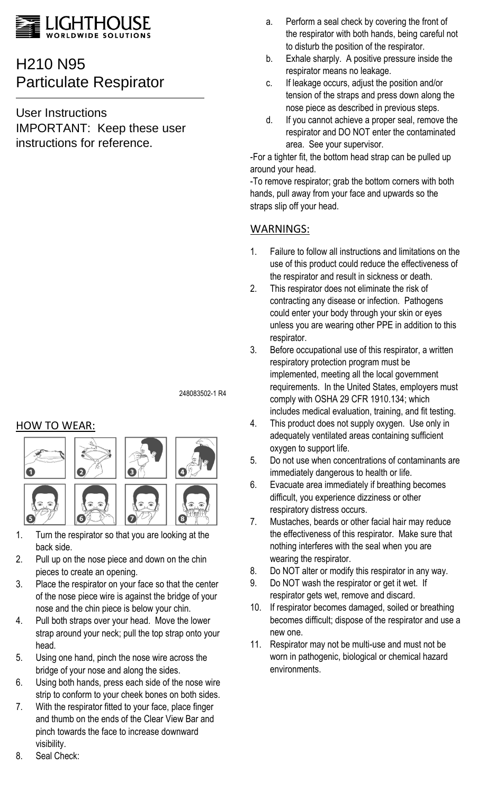

# H210 N95 Particulate Respirator

User Instructions IMPORTANT: Keep these user instructions for reference.

a. Perform a seal check by covering the front of the respirator with both hands, being careful not to disturb the position of the respirator.

- b. Exhale sharply. A positive pressure inside the respirator means no leakage.
- c. If leakage occurs, adjust the position and/or tension of the straps and press down along the nose piece as described in previous steps.
- d. If you cannot achieve a proper seal, remove the respirator and DO NOT enter the contaminated area. See your supervisor.

-For a tighter fit, the bottom head strap can be pulled up around your head.

-To remove respirator; grab the bottom corners with both hands, pull away from your face and upwards so the straps slip off your head.

# WARNINGS:

- 1. Failure to follow all instructions and limitations on the use of this product could reduce the effectiveness of the respirator and result in sickness or death.
- 2. This respirator does not eliminate the risk of contracting any disease or infection. Pathogens could enter your body through your skin or eyes unless you are wearing other PPE in addition to this respirator.
- 3. Before occupational use of this respirator, a written respiratory protection program must be implemented, meeting all the local government requirements. In the United States, employers must comply with OSHA 29 CFR 1910.134; which includes medical evaluation, training, and fit testing.
- 4. This product does not supply oxygen. Use only in adequately ventilated areas containing sufficient oxygen to support life.
- 5. Do not use when concentrations of contaminants are immediately dangerous to health or life.
- 6. Evacuate area immediately if breathing becomes difficult, you experience dizziness or other respiratory distress occurs.
- 7. Mustaches, beards or other facial hair may reduce the effectiveness of this respirator. Make sure that nothing interferes with the seal when you are wearing the respirator.
- 8. Do NOT alter or modify this respirator in any way.
- 9. Do NOT wash the respirator or get it wet. If respirator gets wet, remove and discard.
- 10. If respirator becomes damaged, soiled or breathing becomes difficult; dispose of the respirator and use a new one.
- 11. Respirator may not be multi-use and must not be worn in pathogenic, biological or chemical hazard environments.

#### 248083502-1 R4

# HOW TO WEAR:



- 1. Turn the respirator so that you are looking at the back side.
- 2. Pull up on the nose piece and down on the chin pieces to create an opening.
- 3. Place the respirator on your face so that the center of the nose piece wire is against the bridge of your nose and the chin piece is below your chin.
- 4. Pull both straps over your head. Move the lower strap around your neck; pull the top strap onto your head.
- 5. Using one hand, pinch the nose wire across the bridge of your nose and along the sides.
- 6. Using both hands, press each side of the nose wire strip to conform to your cheek bones on both sides.
- 7. With the respirator fitted to your face, place finger and thumb on the ends of the Clear View Bar and pinch towards the face to increase downward visibility.
- 8. Seal Check: